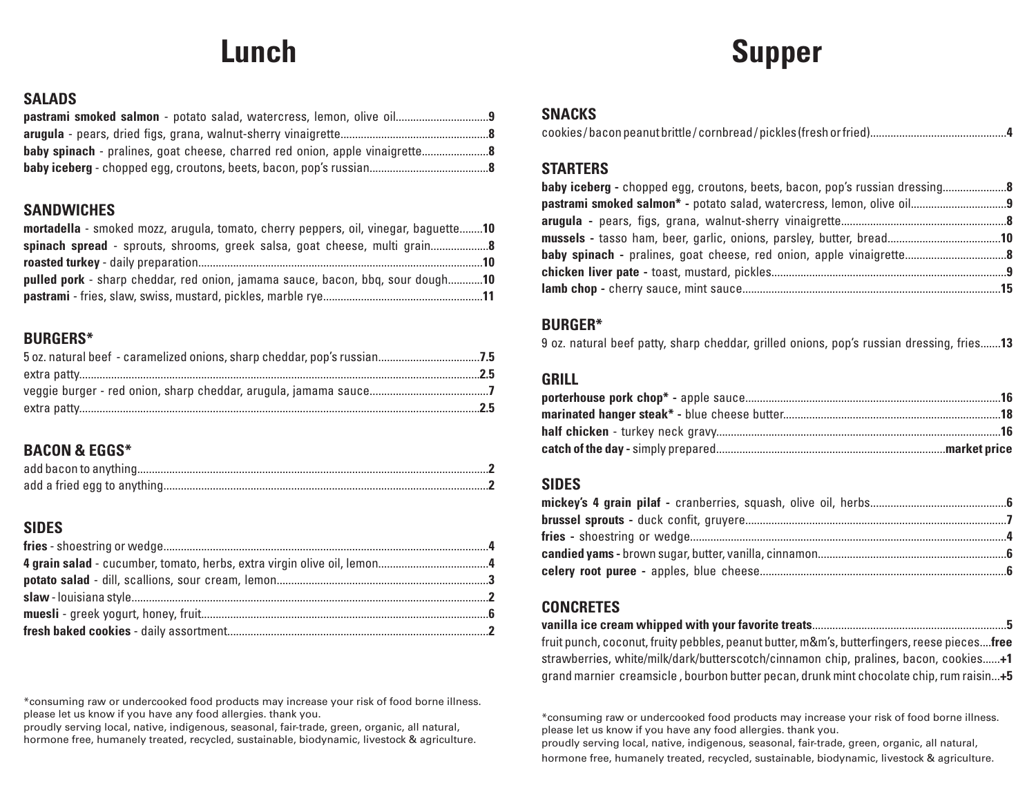# **Lunch**

## **Supper**

### **SALADS**

### **SANDWICHES**

| mortadella - smoked mozz, arugula, tomato, cherry peppers, oil, vinegar, baguette10   |  |
|---------------------------------------------------------------------------------------|--|
|                                                                                       |  |
|                                                                                       |  |
| <b>pulled pork</b> - sharp cheddar, red onion, jamama sauce, bacon, bbq, sour dough10 |  |
|                                                                                       |  |

### **BURGERS\***

## **BACON & EGGS\***

## **SIDES**

\*consuming raw or undercooked food products may increase your risk of food borne illness. please let us know if you have any food allergies. thank you.

proudly serving local, native, indigenous, seasonal, fair-trade, green, organic, all natural, hormone free, humanely treated, recycled, sustainable, biodynamic, livestock & agriculture.

### **SNACKS**

cookies / bacon peanut brittle / cornbread / pickles (fresh or fried)...............................................**4**

### **STARTERS**

| mussels - tasso ham, beer, garlic, onions, parsley, butter, bread10 |  |
|---------------------------------------------------------------------|--|
|                                                                     |  |
|                                                                     |  |
|                                                                     |  |

### **BURGER\***

9 oz. natural beef patty, sharp cheddar, grilled onions, pop's russian dressing, fries.......**13**

### **GRILL**

### **SIDES**

### **CONCRETES**

**vanilla ice cream whipped with your favorite treats**...................................................................**5** fruit punch, coconut, fruity pebbles, peanut butter, m&m's, butterfingers, reese pieces....**free** strawberries, white/milk/dark/butterscotch/cinnamon chip, pralines, bacon, cookies......**+1** grand marnier creamsicle , bourbon butter pecan, drunk mint chocolate chip, rum raisin...**+5**

\*consuming raw or undercooked food products may increase your risk of food borne illness. please let us know if you have any food allergies. thank you.

proudly serving local, native, indigenous, seasonal, fair-trade, green, organic, all natural, hormone free, humanely treated, recycled, sustainable, biodynamic, livestock & agriculture.